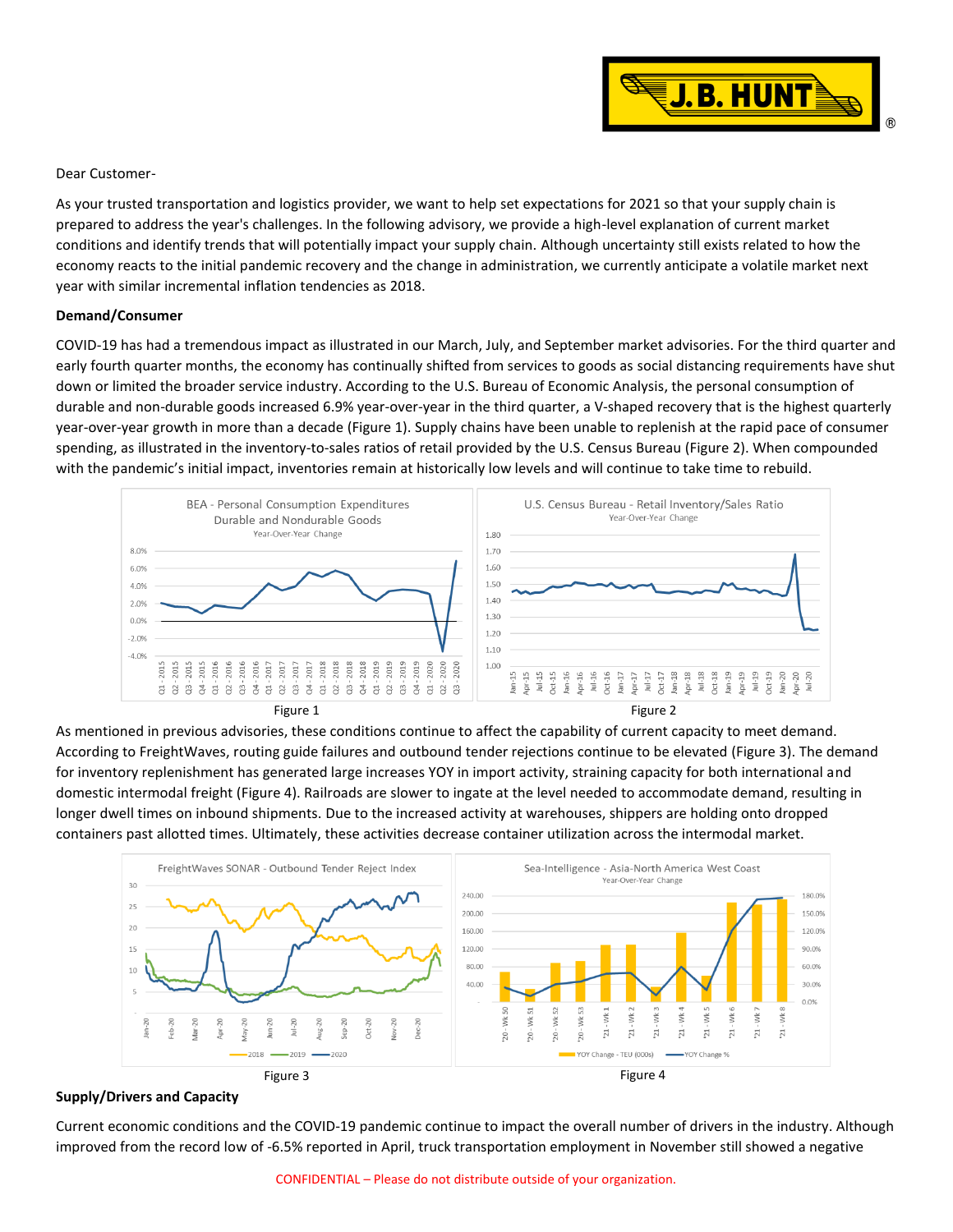

## Dear Customer-

As your trusted transportation and logistics provider, we want to help set expectations for 2021 so that your supply chain is prepared to address the year's challenges. In the following advisory, we provide a high-level explanation of current market conditions and identify trends that will potentially impact your supply chain. Although uncertainty still exists related to how the economy reacts to the initial pandemic recovery and the change in administration, we currently anticipate a volatile market next year with similar incremental inflation tendencies as 2018.

## **Demand/Consumer**

COVID-19 has had a tremendous impact as illustrated in our March, July, and September market advisories. For the third quarter and early fourth quarter months, the economy has continually shifted from services to goods as social distancing requirements have shut down or limited the broader service industry. According to the U.S. Bureau of Economic Analysis, the personal consumption of durable and non-durable goods increased 6.9% year-over-year in the third quarter, a V-shaped recovery that is the highest quarterly year-over-year growth in more than a decade (Figure 1). Supply chains have been unable to replenish at the rapid pace of consumer spending, as illustrated in the inventory-to-sales ratios of retail provided by the U.S. Census Bureau (Figure 2). When compounded with the pandemic's initial impact, inventories remain at historically low levels and will continue to take time to rebuild.



Figure 1

As mentioned in previous advisories, these conditions continue to affect the capability of current capacity to meet demand. According to FreightWaves, routing guide failures and outbound tender rejections continue to be elevated (Figure 3). The demand for inventory replenishment has generated large increases YOY in import activity, straining capacity for both international and domestic intermodal freight (Figure 4). Railroads are slower to ingate at the level needed to accommodate demand, resulting in longer dwell times on inbound shipments. Due to the increased activity at warehouses, shippers are holding onto dropped containers past allotted times. Ultimately, these activities decrease container utilization across the intermodal market.



## **Supply/Drivers and Capacity**

Current economic conditions and the COVID-19 pandemic continue to impact the overall number of drivers in the industry. Although improved from the record low of -6.5% reported in April, truck transportation employment in November still showed a negative